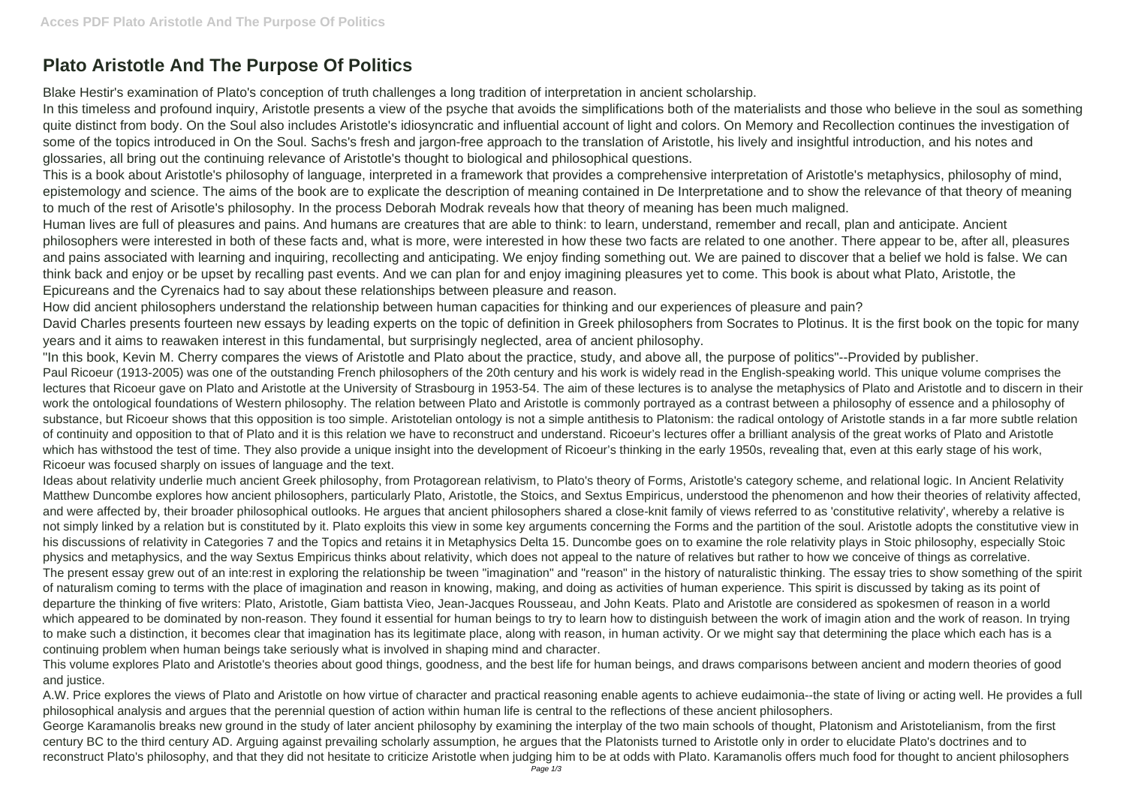## **Plato Aristotle And The Purpose Of Politics**

Blake Hestir's examination of Plato's conception of truth challenges a long tradition of interpretation in ancient scholarship.

In this timeless and profound inquiry, Aristotle presents a view of the psyche that avoids the simplifications both of the materialists and those who believe in the soul as something quite distinct from body. On the Soul also includes Aristotle's idiosyncratic and influential account of light and colors. On Memory and Recollection continues the investigation of some of the topics introduced in On the Soul. Sachs's fresh and jargon-free approach to the translation of Aristotle, his lively and insightful introduction, and his notes and glossaries, all bring out the continuing relevance of Aristotle's thought to biological and philosophical questions.

This is a book about Aristotle's philosophy of language, interpreted in a framework that provides a comprehensive interpretation of Aristotle's metaphysics, philosophy of mind, epistemology and science. The aims of the book are to explicate the description of meaning contained in De Interpretatione and to show the relevance of that theory of meaning to much of the rest of Arisotle's philosophy. In the process Deborah Modrak reveals how that theory of meaning has been much maligned. Human lives are full of pleasures and pains. And humans are creatures that are able to think: to learn, understand, remember and recall, plan and anticipate. Ancient philosophers were interested in both of these facts and, what is more, were interested in how these two facts are related to one another. There appear to be, after all, pleasures and pains associated with learning and inquiring, recollecting and anticipating. We enjoy finding something out. We are pained to discover that a belief we hold is false. We can think back and enjoy or be upset by recalling past events. And we can plan for and enjoy imagining pleasures yet to come. This book is about what Plato, Aristotle, the Epicureans and the Cyrenaics had to say about these relationships between pleasure and reason.

How did ancient philosophers understand the relationship between human capacities for thinking and our experiences of pleasure and pain? David Charles presents fourteen new essays by leading experts on the topic of definition in Greek philosophers from Socrates to Plotinus. It is the first book on the topic for many years and it aims to reawaken interest in this fundamental, but surprisingly neglected, area of ancient philosophy.

"In this book, Kevin M. Cherry compares the views of Aristotle and Plato about the practice, study, and above all, the purpose of politics"--Provided by publisher. Paul Ricoeur (1913-2005) was one of the outstanding French philosophers of the 20th century and his work is widely read in the English-speaking world. This unique volume comprises the lectures that Ricoeur gave on Plato and Aristotle at the University of Strasbourg in 1953-54. The aim of these lectures is to analyse the metaphysics of Plato and Aristotle and to discern in their work the ontological foundations of Western philosophy. The relation between Plato and Aristotle is commonly portrayed as a contrast between a philosophy of essence and a philosophy of substance, but Ricoeur shows that this opposition is too simple. Aristotelian ontology is not a simple antithesis to Platonism: the radical ontology of Aristotle stands in a far more subtle relation of continuity and opposition to that of Plato and it is this relation we have to reconstruct and understand. Ricoeur's lectures offer a brilliant analysis of the great works of Plato and Aristotle which has withstood the test of time. They also provide a unique insight into the development of Ricoeur's thinking in the early 1950s, revealing that, even at this early stage of his work, Ricoeur was focused sharply on issues of language and the text.

Ideas about relativity underlie much ancient Greek philosophy, from Protagorean relativism, to Plato's theory of Forms, Aristotle's category scheme, and relational logic. In Ancient Relativity Matthew Duncombe explores how ancient philosophers, particularly Plato, Aristotle, the Stoics, and Sextus Empiricus, understood the phenomenon and how their theories of relativity affected, and were affected by, their broader philosophical outlooks. He argues that ancient philosophers shared a close-knit family of views referred to as 'constitutive relativity', whereby a relative is not simply linked by a relation but is constituted by it. Plato exploits this view in some key arguments concerning the Forms and the partition of the soul. Aristotle adopts the constitutive view in his discussions of relativity in Categories 7 and the Topics and retains it in Metaphysics Delta 15. Duncombe goes on to examine the role relativity plays in Stoic philosophy, especially Stoic physics and metaphysics, and the way Sextus Empiricus thinks about relativity, which does not appeal to the nature of relatives but rather to how we conceive of things as correlative. The present essay grew out of an inte:rest in exploring the relationship be tween "imagination" and "reason" in the history of naturalistic thinking. The essay tries to show something of the spirit of naturalism coming to terms with the place of imagination and reason in knowing, making, and doing as activities of human experience. This spirit is discussed by taking as its point of departure the thinking of five writers: Plato, Aristotle, Giam battista Vieo, Jean-Jacques Rousseau, and John Keats. Plato and Aristotle are considered as spokesmen of reason in a world which appeared to be dominated by non-reason. They found it essential for human beings to try to learn how to distinguish between the work of imagin ation and the work of reason. In trying to make such a distinction, it becomes clear that imagination has its legitimate place, along with reason, in human activity. Or we might say that determining the place which each has is a continuing problem when human beings take seriously what is involved in shaping mind and character.

This volume explores Plato and Aristotle's theories about good things, goodness, and the best life for human beings, and draws comparisons between ancient and modern theories of good and justice.

A.W. Price explores the views of Plato and Aristotle on how virtue of character and practical reasoning enable agents to achieve eudaimonia--the state of living or acting well. He provides a full philosophical analysis and argues that the perennial question of action within human life is central to the reflections of these ancient philosophers. George Karamanolis breaks new ground in the study of later ancient philosophy by examining the interplay of the two main schools of thought, Platonism and Aristotelianism, from the first century BC to the third century AD. Arguing against prevailing scholarly assumption, he argues that the Platonists turned to Aristotle only in order to elucidate Plato's doctrines and to reconstruct Plato's philosophy, and that they did not hesitate to criticize Aristotle when judging him to be at odds with Plato. Karamanolis offers much food for thought to ancient philosophers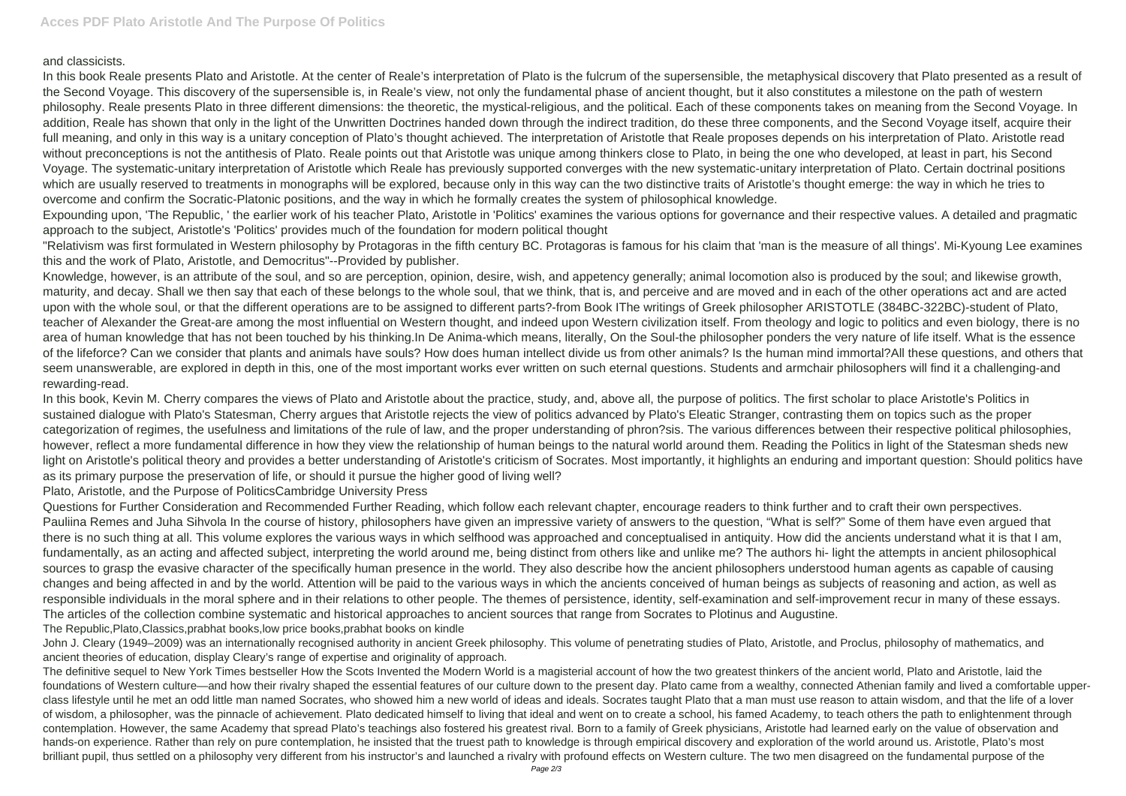and classicists.

In this book Reale presents Plato and Aristotle. At the center of Reale's interpretation of Plato is the fulcrum of the supersensible, the metaphysical discovery that Plato presented as a result of the Second Voyage. This discovery of the supersensible is, in Reale's view, not only the fundamental phase of ancient thought, but it also constitutes a milestone on the path of western philosophy. Reale presents Plato in three different dimensions: the theoretic, the mystical-religious, and the political. Each of these components takes on meaning from the Second Voyage. In addition, Reale has shown that only in the light of the Unwritten Doctrines handed down through the indirect tradition, do these three components, and the Second Voyage itself, acquire their full meaning, and only in this way is a unitary conception of Plato's thought achieved. The interpretation of Aristotle that Reale proposes depends on his interpretation of Plato. Aristotle read without preconceptions is not the antithesis of Plato. Reale points out that Aristotle was unique among thinkers close to Plato, in being the one who developed, at least in part, his Second Voyage. The systematic-unitary interpretation of Aristotle which Reale has previously supported converges with the new systematic-unitary interpretation of Plato. Certain doctrinal positions which are usually reserved to treatments in monographs will be explored, because only in this way can the two distinctive traits of Aristotle's thought emerge: the way in which he tries to overcome and confirm the Socratic-Platonic positions, and the way in which he formally creates the system of philosophical knowledge.

Expounding upon, 'The Republic, ' the earlier work of his teacher Plato, Aristotle in 'Politics' examines the various options for governance and their respective values. A detailed and pragmatic approach to the subject, Aristotle's 'Politics' provides much of the foundation for modern political thought

"Relativism was first formulated in Western philosophy by Protagoras in the fifth century BC. Protagoras is famous for his claim that 'man is the measure of all things'. Mi-Kyoung Lee examines this and the work of Plato, Aristotle, and Democritus"--Provided by publisher.

In this book, Kevin M. Cherry compares the views of Plato and Aristotle about the practice, study, and, above all, the purpose of politics. The first scholar to place Aristotle's Politics in sustained dialogue with Plato's Statesman, Cherry argues that Aristotle rejects the view of politics advanced by Plato's Eleatic Stranger, contrasting them on topics such as the proper categorization of regimes, the usefulness and limitations of the rule of law, and the proper understanding of phron?sis. The various differences between their respective political philosophies, however, reflect a more fundamental difference in how they view the relationship of human beings to the natural world around them. Reading the Politics in light of the Statesman sheds new light on Aristotle's political theory and provides a better understanding of Aristotle's criticism of Socrates. Most importantly, it highlights an enduring and important question: Should politics have as its primary purpose the preservation of life, or should it pursue the higher good of living well?

Knowledge, however, is an attribute of the soul, and so are perception, opinion, desire, wish, and appetency generally; animal locomotion also is produced by the soul; and likewise growth, maturity, and decay. Shall we then say that each of these belongs to the whole soul, that we think, that is, and perceive and are moved and in each of the other operations act and are acted upon with the whole soul, or that the different operations are to be assigned to different parts?-from Book IThe writings of Greek philosopher ARISTOTLE (384BC-322BC)-student of Plato, teacher of Alexander the Great-are among the most influential on Western thought, and indeed upon Western civilization itself. From theology and logic to politics and even biology, there is no area of human knowledge that has not been touched by his thinking.In De Anima-which means, literally, On the Soul-the philosopher ponders the very nature of life itself. What is the essence of the lifeforce? Can we consider that plants and animals have souls? How does human intellect divide us from other animals? Is the human mind immortal?All these questions, and others that seem unanswerable, are explored in depth in this, one of the most important works ever written on such eternal questions. Students and armchair philosophers will find it a challenging-and rewarding-read.

Plato, Aristotle, and the Purpose of PoliticsCambridge University Press

Questions for Further Consideration and Recommended Further Reading, which follow each relevant chapter, encourage readers to think further and to craft their own perspectives. Pauliina Remes and Juha Sihvola In the course of history, philosophers have given an impressive variety of answers to the question, "What is self?" Some of them have even argued that there is no such thing at all. This volume explores the various ways in which selfhood was approached and conceptualised in antiquity. How did the ancients understand what it is that I am, fundamentally, as an acting and affected subject, interpreting the world around me, being distinct from others like and unlike me? The authors hi- light the attempts in ancient philosophical sources to grasp the evasive character of the specifically human presence in the world. They also describe how the ancient philosophers understood human agents as capable of causing changes and being affected in and by the world. Attention will be paid to the various ways in which the ancients conceived of human beings as subjects of reasoning and action, as well as responsible individuals in the moral sphere and in their relations to other people. The themes of persistence, identity, self-examination and self-improvement recur in many of these essays. The articles of the collection combine systematic and historical approaches to ancient sources that range from Socrates to Plotinus and Augustine. The Republic,Plato,Classics,prabhat books,low price books,prabhat books on kindle

John J. Cleary (1949–2009) was an internationally recognised authority in ancient Greek philosophy. This volume of penetrating studies of Plato, Aristotle, and Proclus, philosophy of mathematics, and ancient theories of education, display Cleary's range of expertise and originality of approach.

The definitive sequel to New York Times bestseller How the Scots Invented the Modern World is a magisterial account of how the two greatest thinkers of the ancient world, Plato and Aristotle, laid the foundations of Western culture—and how their rivalry shaped the essential features of our culture down to the present day. Plato came from a wealthy, connected Athenian family and lived a comfortable upperclass lifestyle until he met an odd little man named Socrates, who showed him a new world of ideas and ideals. Socrates taught Plato that a man must use reason to attain wisdom, and that the life of a lover of wisdom, a philosopher, was the pinnacle of achievement. Plato dedicated himself to living that ideal and went on to create a school, his famed Academy, to teach others the path to enlightenment through contemplation. However, the same Academy that spread Plato's teachings also fostered his greatest rival. Born to a family of Greek physicians, Aristotle had learned early on the value of observation and hands-on experience. Rather than rely on pure contemplation, he insisted that the truest path to knowledge is through empirical discovery and exploration of the world around us. Aristotle, Plato's most brilliant pupil, thus settled on a philosophy very different from his instructor's and launched a rivalry with profound effects on Western culture. The two men disagreed on the fundamental purpose of the